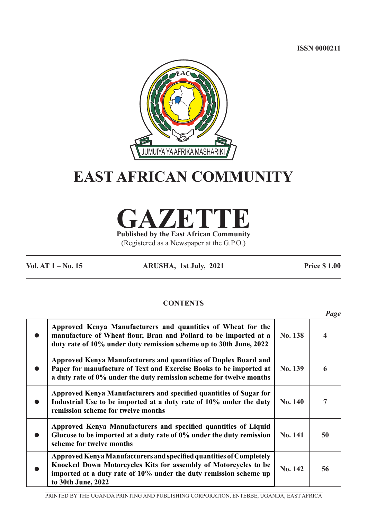**ISSN 0000211**



# **EAST AFRICAN COMMUNITY**

**GAZETTE**

**Published by the East African Community** (Registered as a Newspaper at the G.P.O.)

**Vol. AT 1 – No. 15 ARUSHA, 1st July, 2021 Price \$ 1.00**

# **CONTENTS**

|                                                                                                                                                                                                                                   |                | Page |
|-----------------------------------------------------------------------------------------------------------------------------------------------------------------------------------------------------------------------------------|----------------|------|
| Approved Kenya Manufacturers and quantities of Wheat for the<br>manufacture of Wheat flour, Bran and Pollard to be imported at a<br>duty rate of 10% under duty remission scheme up to 30th June, 2022                            | No. 138        |      |
| Approved Kenya Manufacturers and quantities of Duplex Board and<br>Paper for manufacture of Text and Exercise Books to be imported at<br>a duty rate of 0% under the duty remission scheme for twelve months                      | No. 139        |      |
| Approved Kenya Manufacturers and specified quantities of Sugar for<br>Industrial Use to be imported at a duty rate of 10% under the duty<br>remission scheme for twelve months                                                    | <b>No. 140</b> | 7    |
| Approved Kenya Manufacturers and specified quantities of Liquid<br>Glucose to be imported at a duty rate of 0% under the duty remission<br>scheme for twelve months                                                               | <b>No. 141</b> | 50   |
| Approved Kenya Manufacturers and specified quantities of Completely<br>Knocked Down Motorcycles Kits for assembly of Motorcycles to be<br>imported at a duty rate of 10% under the duty remission scheme up<br>to 30th June, 2022 | <b>No. 142</b> | 56   |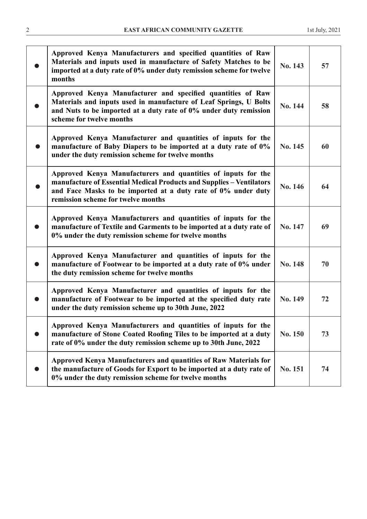| Approved Kenya Manufacturers and specified quantities of Raw<br>Materials and inputs used in manufacture of Safety Matches to be<br>imported at a duty rate of 0% under duty remission scheme for twelve<br>months                           | No. 143 | 57 |
|----------------------------------------------------------------------------------------------------------------------------------------------------------------------------------------------------------------------------------------------|---------|----|
| Approved Kenya Manufacturer and specified quantities of Raw<br>Materials and inputs used in manufacture of Leaf Springs, U Bolts<br>and Nuts to be imported at a duty rate of 0% under duty remission<br>scheme for twelve months            | No. 144 | 58 |
| Approved Kenya Manufacturer and quantities of inputs for the<br>manufacture of Baby Diapers to be imported at a duty rate of 0%<br>under the duty remission scheme for twelve months                                                         | No. 145 | 60 |
| Approved Kenya Manufacturers and quantities of inputs for the<br>manufacture of Essential Medical Products and Supplies - Ventilators<br>and Face Masks to be imported at a duty rate of 0% under duty<br>remission scheme for twelve months | No. 146 | 64 |
| Approved Kenya Manufacturers and quantities of inputs for the<br>manufacture of Textile and Garments to be imported at a duty rate of<br>0% under the duty remission scheme for twelve months                                                | No. 147 | 69 |
| Approved Kenya Manufacturer and quantities of inputs for the<br>manufacture of Footwear to be imported at a duty rate of 0% under<br>the duty remission scheme for twelve months                                                             | No. 148 | 70 |
| Approved Kenya Manufacturer and quantities of inputs for the<br>manufacture of Footwear to be imported at the specified duty rate<br>under the duty remission scheme up to 30th June, 2022                                                   | No. 149 | 72 |
| Approved Kenya Manufacturers and quantities of inputs for the<br>manufacture of Stone Coated Roofing Tiles to be imported at a duty<br>rate of 0% under the duty remission scheme up to 30th June, 2022                                      | No. 150 | 73 |
| Approved Kenya Manufacturers and quantities of Raw Materials for<br>the manufacture of Goods for Export to be imported at a duty rate of<br>0% under the duty remission scheme for twelve months                                             | No. 151 | 74 |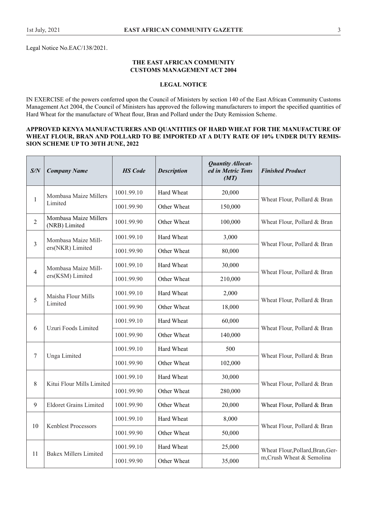Legal Notice No.EAC/138/2021.

# **THE EAST AFRICAN COMMUNITY CUSTOMS MANAGEMENT ACT 2004**

# **LEGAL NOTICE**

IN EXERCISE of the powers conferred upon the Council of Ministers by section 140 of the East African Community Customs Management Act 2004, the Council of Ministers has approved the following manufacturers to import the specifed quantities of Hard Wheat for the manufacture of Wheat four, Bran and Pollard under the Duty Remission Scheme.

# **APPROVED KENYA MANUFACTURERS AND QUANTITIES OF HARD WHEAT FOR THE MANUFACTURE OF WHEAT FLOUR, BRAN AND POLLARD TO BE IMPORTED AT A DUTY RATE OF 10% UNDER DUTY REMIS-SION SCHEME UP TO 30TH JUNE, 2022**

| S/N            | <b>Company Name</b>                    | <b>HS</b> Code | <b>Description</b> | <b>Quantity Allocat-</b><br>ed in Metric Tons<br>(MT) | <b>Finished Product</b>          |
|----------------|----------------------------------------|----------------|--------------------|-------------------------------------------------------|----------------------------------|
|                | Mombasa Maize Millers                  | 1001.99.10     | Hard Wheat         | 20,000                                                |                                  |
| $\mathbf{1}$   | Limited                                | 1001.99.90     | Other Wheat        | 150,000                                               | Wheat Flour, Pollard & Bran      |
| $\overline{2}$ | Mombasa Maize Millers<br>(NRB) Limited | 1001.99.90     | Other Wheat        | 100,000                                               | Wheat Flour, Pollard & Bran      |
| $\overline{3}$ | Mombasa Maize Mill-                    | 1001.99.10     | Hard Wheat         | 3,000                                                 | Wheat Flour, Pollard & Bran      |
|                | ers(NKR) Limited                       | 1001.99.90     | Other Wheat        | 80,000                                                |                                  |
| $\overline{4}$ | Mombasa Maize Mill-                    | 1001.99.10     | Hard Wheat         | 30,000                                                |                                  |
|                | ers(KSM) Limited                       | 1001.99.90     | Other Wheat        | 210,000                                               | Wheat Flour, Pollard & Bran      |
| 5              | Maisha Flour Mills                     | 1001.99.10     | Hard Wheat         | 2,000                                                 |                                  |
|                | Limited                                | 1001.99.90     | Other Wheat        | 18,000                                                | Wheat Flour, Pollard & Bran      |
|                |                                        | 1001.99.10     | Hard Wheat         | 60,000                                                |                                  |
| 6              | Uzuri Foods Limited                    | 1001.99.90     | Other Wheat        | 140,000                                               | Wheat Flour, Pollard & Bran      |
|                |                                        | 1001.99.10     | Hard Wheat         | 500                                                   |                                  |
| 7              | Unga Limited                           | 1001.99.90     | Other Wheat        | 102,000                                               | Wheat Flour, Pollard & Bran      |
|                |                                        | 1001.99.10     | Hard Wheat         | 30,000                                                |                                  |
| $8\,$          | Kitui Flour Mills Limited              | 1001.99.90     | Other Wheat        | 280,000                                               | Wheat Flour, Pollard & Bran      |
| 9              | <b>Eldoret Grains Limited</b>          | 1001.99.90     | Other Wheat        | 20,000                                                | Wheat Flour, Pollard & Bran      |
|                |                                        | 1001.99.10     | Hard Wheat         | 8,000                                                 |                                  |
| 10             | <b>Kenblest Processors</b>             | 1001.99.90     | Other Wheat        | 50,000                                                | Wheat Flour, Pollard & Bran      |
|                |                                        | 1001.99.10     | Hard Wheat         | 25,000                                                | Wheat Flour, Pollard, Bran, Ger- |
| 11             | <b>Bakex Millers Limited</b>           | 1001.99.90     | Other Wheat        | 35,000                                                | m, Crush Wheat & Semolina        |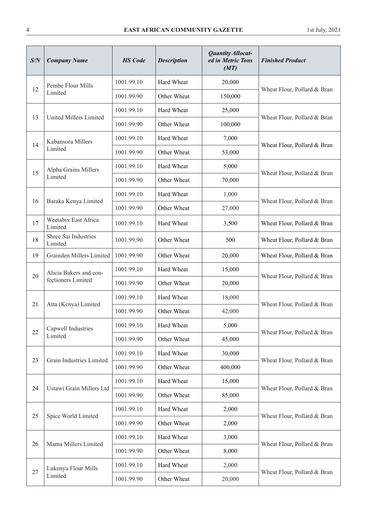| S/N | <b>Company Name</b>             | <b>HS</b> Code | <b>Description</b> | <b>Quantity Allocat-</b><br>ed in Metric Tons<br>(MT) | <b>Finished Product</b>     |
|-----|---------------------------------|----------------|--------------------|-------------------------------------------------------|-----------------------------|
| 12  | Pembe Flour Mills               | 1001.99.10     | Hard Wheat         | 20,000                                                |                             |
|     | Limited                         | 1001.99.90     | Other Wheat        | 150,000                                               | Wheat Flour, Pollard & Bran |
|     | <b>United Millers Limited</b>   | 1001.99.10     | Hard Wheat         | 25,000                                                |                             |
| 13  |                                 | 1001.99.90     | Other Wheat        | 100,000                                               | Wheat Flour, Pollard & Bran |
| 14  | Kabansora Millers               | 1001.99.10     | Hard Wheat         | 7,000                                                 |                             |
|     | Limited                         | 1001.99.90     | Other Wheat        | 53,000                                                | Wheat Flour, Pollard & Bran |
| 15  | Alpha Grains Millers            | 1001.99.10     | Hard Wheat         | 5,000                                                 | Wheat Flour, Pollard & Bran |
|     | Limited                         | 1001.99.90     | Other Wheat        | 70,000                                                |                             |
| 16  |                                 | 1001.99.10     | Hard Wheat         | 1,000                                                 | Wheat Flour, Pollard & Bran |
|     | Baraka Kenya Limited            | 1001.99.90     | Other Wheat        | 27,000                                                |                             |
| 17  | Weetabix East Africa<br>Limited | 1001.99.10     | Hard Wheat         | 3,500                                                 | Wheat Flour, Pollard & Bran |
| 18  | Shree Sai Industries<br>Limited | 1001.99.90     | Other Wheat        | 500                                                   | Wheat Flour, Pollard & Bran |
| 19  | Grainden Millers Limited        | 1001.99.90     | Other Wheat        | 20,000                                                | Wheat Flour, Pollard & Bran |
|     | Alicia Bakers and con-          | 1001.99.10     | Hard Wheat         | 15,000                                                |                             |
| 20  | fectioners Limited              | 1001.99.90     | Other Wheat        | 20,000                                                | Wheat Flour, Pollard & Bran |
|     |                                 | 1001.99.10     | Hard Wheat         | 18,000                                                |                             |
| 21  | Atta (Kenya) Limited            | 1001.99.90     | Other Wheat        | 42,000                                                | Wheat Flour, Pollard & Bran |
|     | Capwell Industries              | 1001.99.10     | Hard Wheat         | 5,000                                                 |                             |
| 22  | Limited                         | 1001.99.90     | Other Wheat        | 45,000                                                | Wheat Flour, Pollard & Bran |
| 23  | Grain Industries Limited        | 1001.99.10     | Hard Wheat         | 30,000                                                |                             |
|     |                                 | 1001.99.90     | Other Wheat        | 400,000                                               | Wheat Flour, Pollard & Bran |
|     | Ustawi Grain Millers Ltd        | 1001.99.10     | Hard Wheat         | 15,000                                                |                             |
| 24  |                                 | 1001.99.90     | Other Wheat        | 85,000                                                | Wheat Flour, Pollard & Bran |
| 25  |                                 | 1001.99.10     | Hard Wheat         | 2,000                                                 |                             |
|     | Spice World Limited             | 1001.99.90     | Other Wheat        | 2,000                                                 | Wheat Flour, Pollard & Bran |
| 26  | Mama Millers Limited            | 1001.99.10     | Hard Wheat         | 3,000                                                 | Wheat Flour, Pollard & Bran |
|     |                                 | 1001.99.90     | Other Wheat        | 8,000                                                 |                             |
| 27  | Lukenya Flour Mills             | 1001.99.10     | Hard Wheat         | 2,000                                                 |                             |
|     | Limited                         | 1001.99.90     | Other Wheat        | 20,000                                                | Wheat Flour, Pollard & Bran |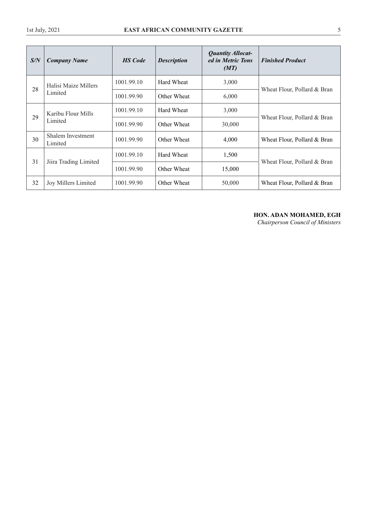| S/N | <b>Company Name</b>                 | <b>HS</b> Code | <b>Description</b> | <b>Quantity Allocat-</b><br>ed in Metric Tons<br>(MT) | <b>Finished Product</b>     |
|-----|-------------------------------------|----------------|--------------------|-------------------------------------------------------|-----------------------------|
| 28  | Halisi Maize Millers                | 1001.99.10     | Hard Wheat         | 3,000                                                 |                             |
|     | Limited                             | 1001.99.90     | Other Wheat        | 6,000                                                 | Wheat Flour, Pollard & Bran |
|     | Karibu Flour Mills<br>29<br>Limited | 1001.99.10     | Hard Wheat         | 3,000                                                 |                             |
|     |                                     | 1001.99.90     | Other Wheat        | 30,000                                                | Wheat Flour, Pollard & Bran |
| 30  | Shalem Investment<br>Limited        | 1001.99.90     | Other Wheat        | 4,000                                                 | Wheat Flour, Pollard & Bran |
|     | Jiira Trading Limited               | 1001.99.10     | Hard Wheat         | 1,500                                                 |                             |
| 31  |                                     | 1001.99.90     | Other Wheat        | 15,000                                                | Wheat Flour, Pollard & Bran |
| 32  | <b>Joy Millers Limited</b>          | 1001.99.90     | Other Wheat        | 50,000                                                | Wheat Flour, Pollard & Bran |

# **HON. ADAN MOHAMED, EGH**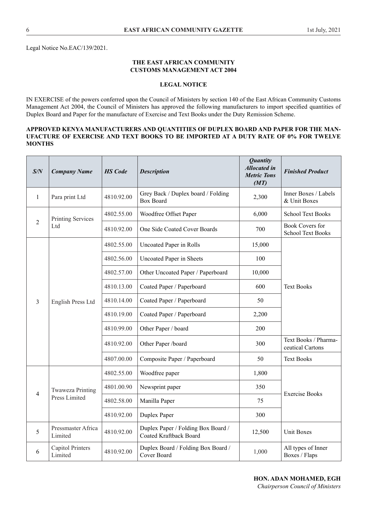Legal Notice No.EAC/139/2021.

# **THE EAST AFRICAN COMMUNITY CUSTOMS MANAGEMENT ACT 2004**

# **LEGAL NOTICE**

IN EXERCISE of the powers conferred upon the Council of Ministers by section 140 of the East African Community Customs Management Act 2004, the Council of Ministers has approved the following manufacturers to import specifed quantities of Duplex Board and Paper for the manufacture of Exercise and Text Books under the Duty Remission Scheme.

# **APPROVED KENYA MANUFACTURERS AND QUANTITIES OF DUPLEX BOARD AND PAPER FOR THE MAN-UFACTURE OF EXERCISE AND TEXT BOOKS TO BE IMPORTED AT A DUTY RATE OF 0% FOR TWELVE MONTHS**

| S/N          | <b>Company Name</b>                | <b>HS</b> Code | <b>Description</b>                                                  | <b>Quantity</b><br><b>Allocated</b> in<br><b>Metric Tons</b><br>(MT) | <b>Finished Product</b>                            |
|--------------|------------------------------------|----------------|---------------------------------------------------------------------|----------------------------------------------------------------------|----------------------------------------------------|
| $\mathbf{1}$ | Para print Ltd                     | 4810.92.00     | Grey Back / Duplex board / Folding<br><b>Box Board</b>              | 2,300                                                                | Inner Boxes / Labels<br>& Unit Boxes               |
|              | <b>Printing Services</b>           | 4802.55.00     | Woodfree Offset Paper                                               | 6,000                                                                | <b>School Text Books</b>                           |
| 2            | Ltd                                | 4810.92.00     | One Side Coated Cover Boards                                        | 700                                                                  | <b>Book Covers for</b><br><b>School Text Books</b> |
|              |                                    | 4802.55.00     | <b>Uncoated Paper in Rolls</b>                                      | 15,000                                                               |                                                    |
|              |                                    | 4802.56.00     | <b>Uncoated Paper in Sheets</b>                                     | 100                                                                  |                                                    |
|              |                                    | 4802.57.00     | Other Uncoated Paper / Paperboard                                   | 10,000                                                               |                                                    |
|              | English Press Ltd                  | 4810.13.00     | Coated Paper / Paperboard                                           | 600                                                                  | <b>Text Books</b>                                  |
| 3            |                                    | 4810.14.00     | Coated Paper / Paperboard                                           | 50                                                                   |                                                    |
|              |                                    | 4810.19.00     | Coated Paper / Paperboard                                           | 2,200                                                                |                                                    |
|              |                                    | 4810.99.00     | Other Paper / board                                                 | 200                                                                  |                                                    |
|              |                                    | 4810.92.00     | Other Paper /board                                                  | 300                                                                  | Text Books / Pharma-<br>ceutical Cartons           |
|              |                                    | 4807.00.00     | Composite Paper / Paperboard                                        | 50                                                                   | <b>Text Books</b>                                  |
|              |                                    | 4802.55.00     | Woodfree paper                                                      | 1,800                                                                |                                                    |
| 4            | <b>Twaweza Printing</b>            | 4801.00.90     | Newsprint paper                                                     | 350                                                                  | <b>Exercise Books</b>                              |
|              | Press Limited                      | 4802.58.00     | Manilla Paper                                                       | 75                                                                   |                                                    |
|              |                                    | 4810.92.00     | Duplex Paper                                                        | 300                                                                  |                                                    |
| 5            | Pressmaster Africa<br>Limited      | 4810.92.00     | Duplex Paper / Folding Box Board /<br><b>Coated Kraftback Board</b> | 12,500                                                               | <b>Unit Boxes</b>                                  |
| 6            | <b>Capitol Printers</b><br>Limited | 4810.92.00     | Duplex Board / Folding Box Board /<br>Cover Board                   | 1,000                                                                | All types of Inner<br>Boxes / Flaps                |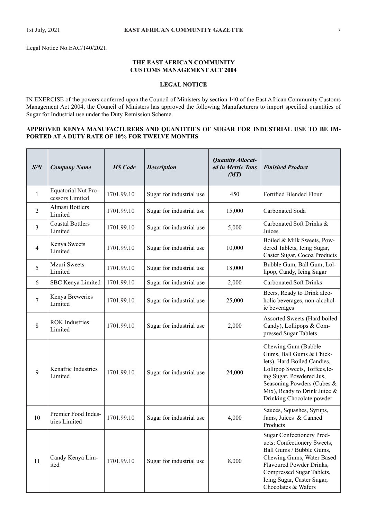Legal Notice No.EAC/140/2021.

# **THE EAST AFRICAN COMMUNITY CUSTOMS MANAGEMENT ACT 2004**

# **LEGAL NOTICE**

IN EXERCISE of the powers conferred upon the Council of Ministers by section 140 of the East African Community Customs Management Act 2004, the Council of Ministers has approved the following Manufacturers to import specifed quantities of Sugar for Industrial use under the Duty Remission Scheme.

# **APPROVED KENYA MANUFACTURERS AND QUANTITIES OF SUGAR FOR INDUSTRIAL USE TO BE IM-PORTED AT A DUTY RATE OF 10% FOR TWELVE MONTHS**

| S/N            | <b>Company Name</b>                    | <b>HS</b> Code | <b>Description</b>       | <b>Quantity Allocat-</b><br>ed in Metric Tons<br>(MT) | <b>Finished Product</b>                                                                                                                                                                                                                   |
|----------------|----------------------------------------|----------------|--------------------------|-------------------------------------------------------|-------------------------------------------------------------------------------------------------------------------------------------------------------------------------------------------------------------------------------------------|
| 1              | Equatorial Nut Pro-<br>cessors Limited | 1701.99.10     | Sugar for industrial use | 450                                                   | Fortified Blended Flour                                                                                                                                                                                                                   |
| $\overline{2}$ | Almasi Bottlers<br>Limited             | 1701.99.10     | Sugar for industrial use | 15,000                                                | Carbonated Soda                                                                                                                                                                                                                           |
| 3              | <b>Coastal Bottlers</b><br>Limited     | 1701.99.10     | Sugar for industrial use | 5,000                                                 | Carbonated Soft Drinks &<br>Juices                                                                                                                                                                                                        |
| $\overline{4}$ | Kenya Sweets<br>Limited                | 1701.99.10     | Sugar for industrial use | 10,000                                                | Boiled & Milk Sweets, Pow-<br>dered Tablets, Icing Sugar,<br>Caster Sugar, Cocoa Products                                                                                                                                                 |
| 5              | Mzuri Sweets<br>Limited                | 1701.99.10     | Sugar for industrial use | 18,000                                                | Bubble Gum, Ball Gum, Lol-<br>lipop, Candy, Icing Sugar                                                                                                                                                                                   |
| 6              | SBC Kenya Limited                      | 1701.99.10     | Sugar for industrial use | 2,000                                                 | <b>Carbonated Soft Drinks</b>                                                                                                                                                                                                             |
| $\overline{7}$ | Kenya Breweries<br>Limited             | 1701.99.10     | Sugar for industrial use | 25,000                                                | Beers, Ready to Drink alco-<br>holic beverages, non-alcohol-<br>ic beverages                                                                                                                                                              |
| 8              | <b>ROK</b> Industries<br>Limited       | 1701.99.10     | Sugar for industrial use | 2,000                                                 | Assorted Sweets (Hard boiled<br>Candy), Lollipops & Com-<br>pressed Sugar Tablets                                                                                                                                                         |
| 9              | Kenafric Industries<br>Limited         | 1701.99.10     | Sugar for industrial use | 24,000                                                | Chewing Gum (Bubble<br>Gums, Ball Gums & Chick-<br>lets), Hard Boiled Candies,<br>Lollipop Sweets, Toffees, Ic-<br>ing Sugar, Powdered Jus,<br>Seasoning Powders (Cubes &<br>Mix), Ready to Drink Juice $\&$<br>Drinking Chocolate powder |
| 10             | Premier Food Indus-<br>tries Limited   | 1701.99.10     | Sugar for industrial use | 4,000                                                 | Sauces, Squashes, Syrups,<br>Jams, Juices & Canned<br>Products                                                                                                                                                                            |
| 11             | Candy Kenya Lim-<br>ited               | 1701.99.10     | Sugar for industrial use | 8,000                                                 | Sugar Confectionery Prod-<br>ucts; Confectionery Sweets,<br>Ball Gums / Bubble Gums,<br>Chewing Gums, Water Based<br>Flavoured Powder Drinks,<br>Compressed Sugar Tablets,<br>Icing Sugar, Caster Sugar,<br>Chocolates & Wafers           |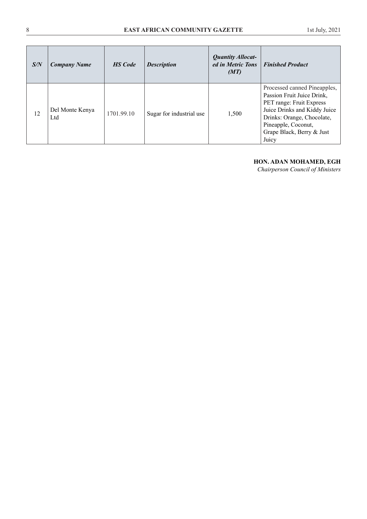| S/N | <b>Company Name</b>    | <b>HS</b> Code | <b>Description</b>       | <b>Quantity Allocat-</b><br>ed in Metric Tons<br>(MT) | <b>Finished Product</b>                                                                                                                                                                                           |
|-----|------------------------|----------------|--------------------------|-------------------------------------------------------|-------------------------------------------------------------------------------------------------------------------------------------------------------------------------------------------------------------------|
| 12  | Del Monte Kenya<br>Ltd | 1701.99.10     | Sugar for industrial use | 1,500                                                 | Processed canned Pineapples,<br>Passion Fruit Juice Drink,<br>PET range: Fruit Express<br>Juice Drinks and Kiddy Juice<br>Drinks: Orange, Chocolate,<br>Pineapple, Coconut,<br>Grape Black, Berry & Just<br>Juicy |

# **HON. ADAN MOHAMED, EGH**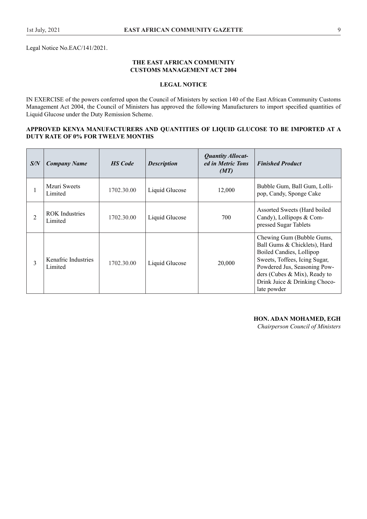Legal Notice No.EAC/141/2021.

# **THE EAST AFRICAN COMMUNITY CUSTOMS MANAGEMENT ACT 2004**

# **LEGAL NOTICE**

IN EXERCISE of the powers conferred upon the Council of Ministers by section 140 of the East African Community Customs Management Act 2004, the Council of Ministers has approved the following Manufacturers to import specifed quantities of Liquid Glucose under the Duty Remission Scheme.

# **APPROVED KENYA MANUFACTURERS AND QUANTITIES OF LIQUID GLUCOSE TO BE IMPORTED AT A DUTY RATE OF 0% FOR TWELVE MONTHS**

| S/N            | <b>Company Name</b>              | <b>HS</b> Code | <b>Description</b> | <b>Quantity Allocat-</b><br>ed in Metric Tons<br>(MT) | <b>Finished Product</b>                                                                                                                                                                                                                |
|----------------|----------------------------------|----------------|--------------------|-------------------------------------------------------|----------------------------------------------------------------------------------------------------------------------------------------------------------------------------------------------------------------------------------------|
|                | Mzuri Sweets<br>Limited          | 1702.30.00     | Liquid Glucose     | 12,000                                                | Bubble Gum, Ball Gum, Lolli-<br>pop, Candy, Sponge Cake                                                                                                                                                                                |
| $\overline{2}$ | <b>ROK</b> Industries<br>Limited | 1702.30.00     | Liquid Glucose     | 700                                                   | Assorted Sweets (Hard boiled<br>Candy), Lollipops & Com-<br>pressed Sugar Tablets                                                                                                                                                      |
| $\overline{3}$ | Kenafric Industries<br>Limited   | 1702.30.00     | Liquid Glucose     | 20,000                                                | Chewing Gum (Bubble Gums,<br>Ball Gums & Chicklets), Hard<br>Boiled Candies, Lollipop<br>Sweets, Toffees, Icing Sugar,<br>Powdered Jus, Seasoning Pow-<br>ders (Cubes & Mix), Ready to<br>Drink Juice & Drinking Choco-<br>late powder |

# **HON. ADAN MOHAMED, EGH**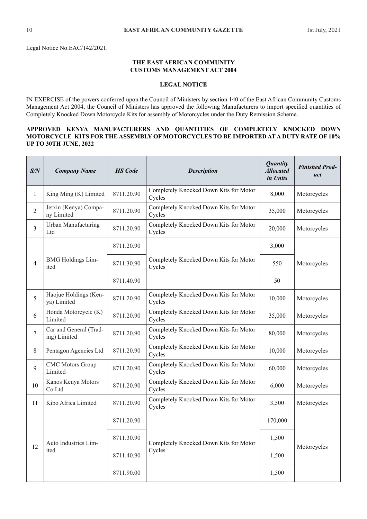Legal Notice No.EAC/142/2021.

# **THE EAST AFRICAN COMMUNITY CUSTOMS MANAGEMENT ACT 2004**

# **LEGAL NOTICE**

IN EXERCISE of the powers conferred upon the Council of Ministers by section 140 of the East African Community Customs Management Act 2004, the Council of Ministers has approved the following Manufacturers to import specifed quantities of Completely Knocked Down Motorcycle Kits for assembly of Motorcycles under the Duty Remission Scheme.

# **APPROVED KENYA MANUFACTURERS AND QUANTITIES OF COMPLETELY KNOCKED DOWN MOTORCYCLE KITS FOR THE ASSEMBLY OF MOTORCYCLES TO BE IMPORTED AT A DUTY RATE OF 10% UP TO 30TH JUNE, 2022**

| S/N | <b>Company Name</b>                    | <b>HS</b> Code | <b>Description</b>                               | <b>Quantity</b><br><b>Allocated</b><br>in Units | <b>Finished Prod-</b><br>uct |
|-----|----------------------------------------|----------------|--------------------------------------------------|-------------------------------------------------|------------------------------|
| 1   | King Ming (K) Limited                  | 8711.20.90     | Completely Knocked Down Kits for Motor<br>Cycles | 8,000                                           | Motorcycles                  |
| 2   | Jetxin (Kenya) Compa-<br>ny Limited    | 8711.20.90     | Completely Knocked Down Kits for Motor<br>Cycles | 35,000                                          | Motorcycles                  |
| 3   | <b>Urban Manufacturing</b><br>Ltd      | 8711.20.90     | Completely Knocked Down Kits for Motor<br>Cycles | 20,000                                          | Motorcycles                  |
|     |                                        | 8711.20.90     |                                                  | 3,000                                           |                              |
| 4   | <b>BMG</b> Holdings Lim-<br>ited       | 8711.30.90     | Completely Knocked Down Kits for Motor<br>Cycles | 550                                             | Motorcycles                  |
|     |                                        | 8711.40.90     |                                                  | 50                                              |                              |
| 5   | Haojue Holdings (Ken-<br>ya) Limited   | 8711.20.90     | Completely Knocked Down Kits for Motor<br>Cycles | 10,000                                          | Motorcycles                  |
| 6   | Honda Motorcycle (K)<br>Limited        | 8711.20.90     | Completely Knocked Down Kits for Motor<br>Cycles | 35,000                                          | Motorcycles                  |
| 7   | Car and General (Trad-<br>ing) Limited | 8711.20.90     | Completely Knocked Down Kits for Motor<br>Cycles | 80,000                                          | Motorcycles                  |
| 8   | Pentagon Agencies Ltd                  | 8711.20.90     | Completely Knocked Down Kits for Motor<br>Cycles | 10,000                                          | Motorcycles                  |
| 9   | <b>CMC</b> Motors Group<br>Limited     | 8711.20.90     | Completely Knocked Down Kits for Motor<br>Cycles | 60,000                                          | Motorcycles                  |
| 10  | Kanos Kenya Motors<br>Co.Ltd           | 8711.20.90     | Completely Knocked Down Kits for Motor<br>Cycles | 6,000                                           | Motorcycles                  |
| 11  | Kibo Africa Limited                    | 8711.20.90     | Completely Knocked Down Kits for Motor<br>Cycles | 3,500                                           | Motorcycles                  |
|     |                                        | 8711.20.90     |                                                  | 170,000                                         |                              |
|     | Auto Industries Lim-                   | 8711.30.90     | Completely Knocked Down Kits for Motor           | 1,500                                           | Motorcycles                  |
| 12  | ited                                   | 8711.40.90     | Cycles                                           | 1,500                                           |                              |
|     |                                        | 8711.90.00     |                                                  | 1,500                                           |                              |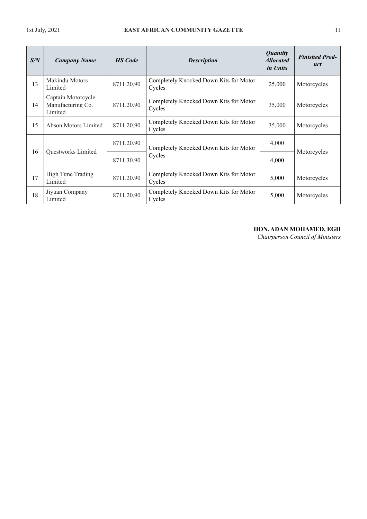| S/N | <b>Company Name</b>                                | <b>HS</b> Code | <b>Description</b>                               | <b>Quantity</b><br><b>Allocated</b><br><i>in Units</i> | <b>Finished Prod-</b><br>uct |
|-----|----------------------------------------------------|----------------|--------------------------------------------------|--------------------------------------------------------|------------------------------|
| 13  | <b>Makindu Motors</b><br>Limited                   | 8711.20.90     | Completely Knocked Down Kits for Motor<br>Cycles | 25,000                                                 | Motorcycles                  |
| 14  | Captain Motorcycle<br>Manufacturing Co.<br>Limited | 8711.20.90     | Completely Knocked Down Kits for Motor<br>Cycles | 35,000                                                 | Motorcycles                  |
| 15  | Abson Motors Limited                               | 8711.20.90     | Completely Knocked Down Kits for Motor<br>Cycles | 35,000                                                 | Motorcycles                  |
| 16  | 8711.20.90                                         |                | Completely Knocked Down Kits for Motor           | 4,000                                                  |                              |
|     | Questworks Limited                                 | 8711.30.90     | Cycles                                           | 4,000                                                  | Motorcycles                  |
| 17  | High Time Trading<br>Limited                       | 8711.20.90     | Completely Knocked Down Kits for Motor<br>Cycles | 5,000                                                  | Motorcycles                  |
| 18  | Jiyuan Company<br>Limited                          | 8711.20.90     | Completely Knocked Down Kits for Motor<br>Cycles | 5,000                                                  | Motorcycles                  |

# **HON. ADAN MOHAMED, EGH**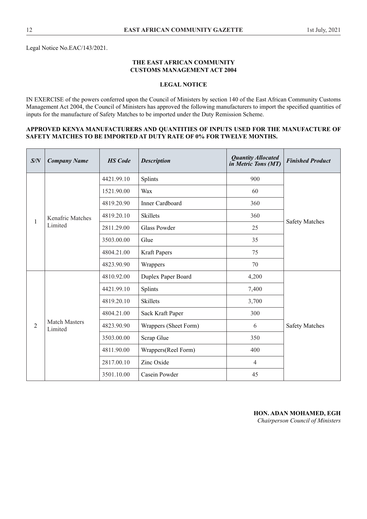Legal Notice No.EAC/143/2021.

# **THE EAST AFRICAN COMMUNITY CUSTOMS MANAGEMENT ACT 2004**

# **LEGAL NOTICE**

IN EXERCISE of the powers conferred upon the Council of Ministers by section 140 of the East African Community Customs Management Act 2004, the Council of Ministers has approved the following manufacturers to import the specifed quantities of inputs for the manufacture of Safety Matches to be imported under the Duty Remission Scheme.

# **APPROVED KENYA MANUFACTURERS AND QUANTITIES OF INPUTS USED FOR THE MANUFACTURE OF SAFETY MATCHES TO BE IMPORTED AT DUTY RATE OF 0% FOR TWELVE MONTHS.**

| S/N            | <b>Company Name</b>             | <b>HS</b> Code | <b>Description</b>     | <b>Quantity Allocated</b><br>in Metric Tons (MT) | <b>Finished Product</b> |
|----------------|---------------------------------|----------------|------------------------|--------------------------------------------------|-------------------------|
|                |                                 | 4421.99.10     | Splints                | 900                                              |                         |
|                |                                 | 1521.90.00     | Wax                    | 60                                               |                         |
|                |                                 | 4819.20.90     | <b>Inner Cardboard</b> | 360                                              |                         |
| 1              | <b>Kenafric Matches</b>         | 4819.20.10     | <b>Skillets</b>        | 360                                              | <b>Safety Matches</b>   |
|                | Limited                         | 2811.29.00     | Glass Powder           | 25                                               |                         |
|                |                                 | 3503.00.00     | Glue                   | 35                                               |                         |
|                |                                 | 4804.21.00     | Kraft Papers           | 75                                               |                         |
|                |                                 | 4823.90.90     | Wrappers               | 70                                               |                         |
|                |                                 | 4810.92.00     | Duplex Paper Board     | 4,200                                            |                         |
|                |                                 | 4421.99.10     | Splints                | 7,400                                            |                         |
|                |                                 | 4819.20.10     | <b>Skillets</b>        | 3,700                                            |                         |
|                |                                 | 4804.21.00     | Sack Kraft Paper       | 300                                              |                         |
| $\overline{2}$ | <b>Match Masters</b><br>Limited | 4823.90.90     | Wrappers (Sheet Form)  | 6                                                | <b>Safety Matches</b>   |
|                |                                 | 3503.00.00     | Scrap Glue             | 350                                              |                         |
|                |                                 | 4811.90.00     | Wrappers(Reel Form)    | 400                                              |                         |
|                |                                 | 2817.00.10     | Zinc Oxide             | $\overline{4}$                                   |                         |
|                |                                 | 3501.10.00     | Casein Powder          | 45                                               |                         |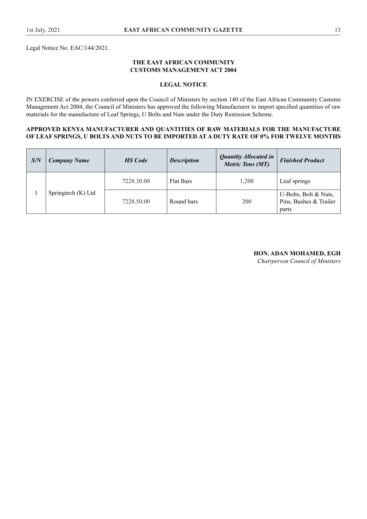Legal Notice No. EAC/144/2021.

# **THE EAST AFRICAN COMMUNITY CUSTOMS MANAGEMENT ACT 2004**

# **LEGAL NOTICE**

IN EXERCISE of the powers conferred upon the Council of Ministers by section 140 of the East African Community Customs Management Act 2004, the Council of Ministers has approved the following Manufacturer to import specifed quantities of raw materials for the manufacture of Leaf Springs, U Bolts and Nuts under the Duty Remission Scheme.

#### **APPROVED KENYA MANUFACTURER AND QUANTITIES OF RAW MATERIALS FOR THE MANUFACTURE OF LEAF SPRINGS, U BOLTS AND NUTS TO BE IMPORTED AT A DUTY RATE OF 0% FOR TWELVE MONTHS**

| S/N | <b>Company Name</b> | <b>HS</b> Code | <b>Description</b> | <b>Quantity Allocated in</b><br><b>Metric Tons (MT)</b> | <b>Finished Product</b>                                  |
|-----|---------------------|----------------|--------------------|---------------------------------------------------------|----------------------------------------------------------|
|     |                     | 7228.30.00     | <b>Flat Bars</b>   | 1,200                                                   | Leaf springs                                             |
|     | Springtech (K) Ltd  | 7228.50.00     | Round bars         | 200                                                     | U-Bolts, Bolt & Nuts,<br>Pins, Bushes & Trailer<br>parts |

# **HON. ADAN MOHAMED, EGH**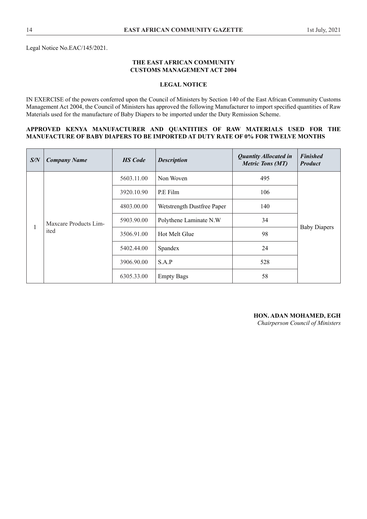Legal Notice No.EAC/145/2021.

# **THE EAST AFRICAN COMMUNITY CUSTOMS MANAGEMENT ACT 2004**

# **LEGAL NOTICE**

IN EXERCISE of the powers conferred upon the Council of Ministers by Section 140 of the East African Community Customs Management Act 2004, the Council of Ministers has approved the following Manufacturer to import specifed quantities of Raw Materials used for the manufacture of Baby Diapers to be imported under the Duty Remission Scheme.

#### **APPROVED KENYA MANUFACTURER AND QUANTITIES OF RAW MATERIALS USED FOR THE MANUFACTURE OF BABY DIAPERS TO BE IMPORTED AT DUTY RATE OF 0% FOR TWELVE MONTHS**

| S/N | <b>Company Name</b>   | <b>HS</b> Code | <b>Description</b>         | <b>Quantity Allocated in</b><br><b>Metric Tons (MT)</b> | <b>Finished</b><br><b>Product</b> |
|-----|-----------------------|----------------|----------------------------|---------------------------------------------------------|-----------------------------------|
|     |                       | 5603.11.00     | Non Woven                  | 495                                                     |                                   |
|     |                       | 3920.10.90     | P.E Film                   | 106                                                     |                                   |
|     | Maxcare Products Lim- | 4803.00.00     | Wetstrength Dustfree Paper | 140                                                     |                                   |
|     |                       | 5903.90.00     | Polythene Laminate N.W     | 34                                                      |                                   |
|     | ited                  | 3506.91.00     | Hot Melt Glue              | 98                                                      | <b>Baby Diapers</b>               |
|     |                       | 5402.44.00     | Spandex                    | 24                                                      |                                   |
|     |                       | 3906.90.00     | S.A.P                      | 528                                                     |                                   |
|     |                       | 6305.33.00     | <b>Empty Bags</b>          | 58                                                      |                                   |

**HON. ADAN MOHAMED, EGH**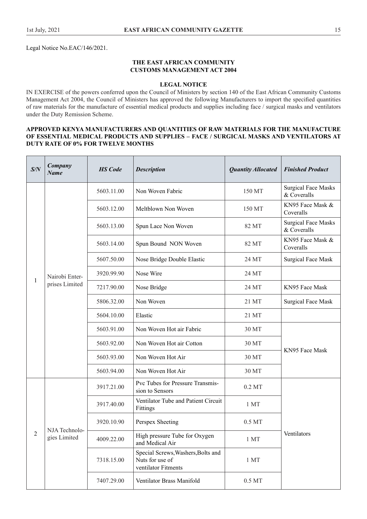Legal Notice No.EAC/146/2021.

# **THE EAST AFRICAN COMMUNITY CUSTOMS MANAGEMENT ACT 2004**

# **LEGAL NOTICE**

IN EXERCISE of the powers conferred upon the Council of Ministers by section 140 of the East African Community Customs Management Act 2004, the Council of Ministers has approved the following Manufacturers to import the specifed quantities of raw materials for the manufacture of essential medical products and supplies including face / surgical masks and ventilators under the Duty Remission Scheme.

# **APPROVED KENYA MANUFACTURERS AND QUANTITIES OF RAW MATERIALS FOR THE MANUFACTURE OF ESSENTIAL MEDICAL PRODUCTS AND SUPPLIES – FACE / SURGICAL MASKS AND VENTILATORS AT DUTY RATE OF 0% FOR TWELVE MONTHS**

| S/N        | Company<br><b>Name</b> | <b>HS</b> Code | <b>Description</b>                                                           | <b>Quantity Allocated</b> | <b>Finished Product</b>                   |
|------------|------------------------|----------------|------------------------------------------------------------------------------|---------------------------|-------------------------------------------|
|            |                        | 5603.11.00     | Non Woven Fabric                                                             | 150 MT                    | <b>Surgical Face Masks</b><br>& Coveralls |
|            |                        | 5603.12.00     | Meltblown Non Woven                                                          | 150 MT                    | KN95 Face Mask &<br>Coveralls             |
|            |                        | 5603.13.00     | Spun Lace Non Woven                                                          | 82 MT                     | <b>Surgical Face Masks</b><br>& Coveralls |
|            |                        | 5603.14.00     | Spun Bound NON Woven                                                         | 82 MT                     | KN95 Face Mask &<br>Coveralls             |
|            |                        | 5607.50.00     | Nose Bridge Double Elastic                                                   | 24 MT                     | <b>Surgical Face Mask</b>                 |
| 1          | Nairobi Enter-         | 3920.99.90     | Nose Wire                                                                    | 24 MT                     |                                           |
|            | prises Limited         | 7217.90.00     | Nose Bridge                                                                  | 24 MT                     | KN95 Face Mask                            |
|            |                        | 5806.32.00     | Non Woven                                                                    | 21 MT                     | <b>Surgical Face Mask</b>                 |
|            |                        | 5604.10.00     | Elastic                                                                      | 21 MT                     |                                           |
|            |                        | 5603.91.00     | Non Woven Hot air Fabric                                                     | 30 MT                     |                                           |
|            |                        | 5603.92.00     | Non Woven Hot air Cotton                                                     | 30 MT                     | KN95 Face Mask                            |
|            |                        | 5603.93.00     | Non Woven Hot Air                                                            | 30 MT                     |                                           |
|            |                        | 5603.94.00     | Non Woven Hot Air                                                            | 30 MT                     |                                           |
|            |                        | 3917.21.00     | Pvc Tubes for Pressure Transmis-<br>sion to Sensors                          | $0.2$ MT                  |                                           |
|            |                        | 3917.40.00     | Ventilator Tube and Patient Circuit<br>Fittings                              | 1 MT                      |                                           |
|            | NJA Technolo-          | 3920.10.90     | Perspex Sheeting                                                             | $0.5\ \mathrm{MT}$        |                                           |
| $\sqrt{2}$ | gies Limited           | 4009.22.00     | High pressure Tube for Oxygen<br>and Medical Air                             | 1MT                       | Ventilators                               |
|            |                        | 7318.15.00     | Special Screws, Washers, Bolts and<br>Nuts for use of<br>ventilator Fitments | 1 <sub>MT</sub>           |                                           |
|            |                        | 7407.29.00     | Ventilator Brass Manifold                                                    | $0.5\,\mathrm{MT}$        |                                           |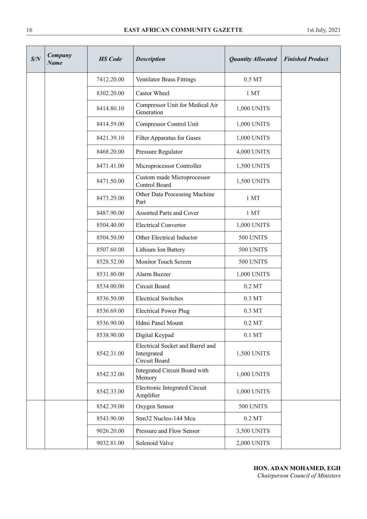| S/N | Company<br>Name | <b>HS</b> Code | <b>Description</b>                                               | <b>Quantity Allocated</b> | <b>Finished Product</b> |
|-----|-----------------|----------------|------------------------------------------------------------------|---------------------------|-------------------------|
|     |                 | 7412.20.00     | <b>Ventilator Brass Fittings</b>                                 | $0.5\,\mathrm{MT}$        |                         |
|     |                 | 8302.20.00     | Castor Wheel                                                     | 1 MT                      |                         |
|     |                 | 8414.80.10     | Compressor Unit for Medical Air<br>Generation                    | 1,000 UNITS               |                         |
|     |                 | 8414.59.00     | Compressor Control Unit                                          | 1,000 UNITS               |                         |
|     |                 | 8421.39.10     | Filter Apparatus for Gases                                       | 1,000 UNITS               |                         |
|     |                 | 8468.20.00     | Pressure Regulator                                               | 4,000 UNITS               |                         |
|     |                 | 8471.41.00     | Microprocessor Controller                                        | 1,500 UNITS               |                         |
|     |                 | 8471.50.00     | Custom made Microprocessor<br>Control Board                      | 1,500 UNITS               |                         |
|     |                 | 8473.29.00     | Other Data Processing Machine<br>Part                            | 1 MT                      |                         |
|     |                 | 8487.90.00     | <b>Assorted Parts and Cover</b>                                  | 1MT                       |                         |
|     |                 | 8504.40.00     | <b>Electrical Convertor</b>                                      | 1,000 UNITS               |                         |
|     |                 | 8504.50.00     | Other Electrical Inductor                                        | 500 UNITS                 |                         |
|     |                 | 8507.60.00     | Lithium Ion Battery                                              | 500 UNITS                 |                         |
|     |                 | 8528.52.00     | Monitor Touch Screen                                             | 500 UNITS                 |                         |
|     |                 | 8531.80.00     | Alarm Buzzer                                                     | 1,000 UNITS               |                         |
|     |                 | 8534.00.00     | Circuit Board                                                    | $0.2$ MT                  |                         |
|     |                 | 8536.50.00     | <b>Electrical Switches</b>                                       | $0.3\ \mathrm{MT}$        |                         |
|     |                 | 8536.69.00     | <b>Electrical Power Plug</b>                                     | 0.3 MT                    |                         |
|     |                 | 8536.90.00     | Hdmi Panel Mount                                                 | $0.2$ MT                  |                         |
|     |                 | 8538.90.00     | Digital Keypad                                                   | $0.1$ MT                  |                         |
|     |                 | 8542.31.00     | Electrical Socket and Barrel and<br>Intergrated<br>Circuit Board | 1,500 UNITS               |                         |
|     |                 | 8542.32.00     | Integrated Circuit Board with<br>Memory                          | 1,000 UNITS               |                         |
|     |                 | 8542.33.00     | Electronic Integrated Circuit<br>Amplifier                       | 1,000 UNITS               |                         |
|     |                 | 8542.39.00     | Oxygen Sensor                                                    | 500 UNITS                 |                         |
|     |                 | 8543.90.00     | Stm32 Nucleo-144 Mcu                                             | $0.2$ MT                  |                         |
|     |                 | 9026.20.00     | Pressure and Flow Sensor                                         | 3,500 UNITS               |                         |
|     |                 | 9032.81.00     | Solenoid Valve                                                   | 2,000 UNITS               |                         |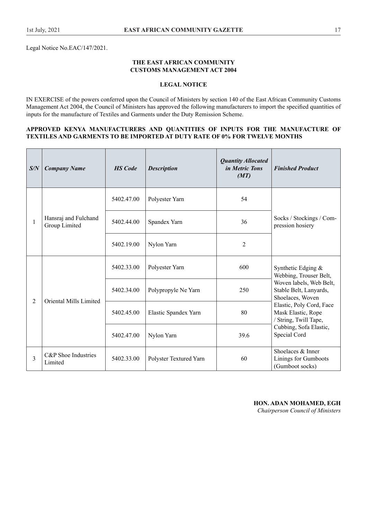Legal Notice No.EAC/147/2021.

# **THE EAST AFRICAN COMMUNITY CUSTOMS MANAGEMENT ACT 2004**

# **LEGAL NOTICE**

IN EXERCISE of the powers conferred upon the Council of Ministers by section 140 of the East African Community Customs Management Act 2004, the Council of Ministers has approved the following manufacturers to import the specifed quantities of inputs for the manufacture of Textiles and Garments under the Duty Remission Scheme.

# **APPROVED KENYA MANUFACTURERS AND QUANTITIES OF INPUTS FOR THE MANUFACTURE OF TEXTILES AND GARMENTS TO BE IMPORTED AT DUTY RATE OF 0% FOR TWELVE MONTHS**

| S/N            | <b>Company Name</b>                   | <b>HS</b> Code | <b>Description</b>     | <b>Quantity Allocated</b><br>in Metric Tons<br>(MT) | <b>Finished Product</b>                                                 |
|----------------|---------------------------------------|----------------|------------------------|-----------------------------------------------------|-------------------------------------------------------------------------|
|                |                                       | 5402.47.00     | Polyester Yarn         | 54                                                  |                                                                         |
| $\mathbf{1}$   | Hansraj and Fulchand<br>Group Limited | 5402.44.00     | Spandex Yarn           | 36                                                  | Socks / Stockings / Com-<br>pression hosiery                            |
|                |                                       | 5402.19.00     | Nylon Yarn             | $\overline{2}$                                      |                                                                         |
|                | Oriental Mills Limited                | 5402.33.00     | Polyester Yarn         | 600                                                 | Synthetic Edging &<br>Webbing, Trouser Belt,                            |
|                |                                       | 5402.34.00     | Polypropyle Ne Yarn    | 250                                                 | Woven labels, Web Belt,<br>Stable Belt, Lanyards,<br>Shoelaces, Woven   |
| $\overline{2}$ |                                       | 5402.45.00     | Elastic Spandex Yarn   | 80                                                  | Elastic, Poly Cord, Face<br>Mask Elastic, Rope<br>/ String, Twill Tape, |
|                |                                       | 5402.47.00     | Nylon Yarn             | 39.6                                                | Cubbing, Sofa Elastic,<br>Special Cord                                  |
| 3              | C&P Shoe Industries<br>Limited        | 5402.33.00     | Polyster Textured Yarn | 60                                                  | Shoelaces & Inner<br>Linings for Gumboots<br>(Gumboot socks)            |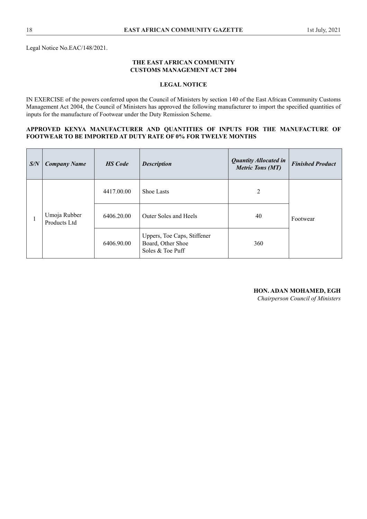Legal Notice No.EAC/148/2021.

# **THE EAST AFRICAN COMMUNITY CUSTOMS MANAGEMENT ACT 2004**

# **LEGAL NOTICE**

IN EXERCISE of the powers conferred upon the Council of Ministers by section 140 of the East African Community Customs Management Act 2004, the Council of Ministers has approved the following manufacturer to import the specifed quantities of inputs for the manufacture of Footwear under the Duty Remission Scheme.

# **APPROVED KENYA MANUFACTURER AND QUANTITIES OF INPUTS FOR THE MANUFACTURE OF FOOTWEAR TO BE IMPORTED AT DUTY RATE OF 0% FOR TWELVE MONTHS**

| S/N | <b>Company Name</b>          | <b>HS</b> Code | <b>Description</b>                                                   | <b>Quantity Allocated in</b><br><b>Metric Tons (MT)</b> | <b>Finished Product</b> |
|-----|------------------------------|----------------|----------------------------------------------------------------------|---------------------------------------------------------|-------------------------|
|     | Umoja Rubber<br>Products Ltd | 4417.00.00     | <b>Shoe Lasts</b>                                                    | 2                                                       |                         |
|     |                              | 6406.20.00     | Outer Soles and Heels                                                | 40                                                      | Footwear                |
|     |                              | 6406.90.00     | Uppers, Toe Caps, Stiffener<br>Board, Other Shoe<br>Soles & Toe Puff | 360                                                     |                         |

# **HON. ADAN MOHAMED, EGH**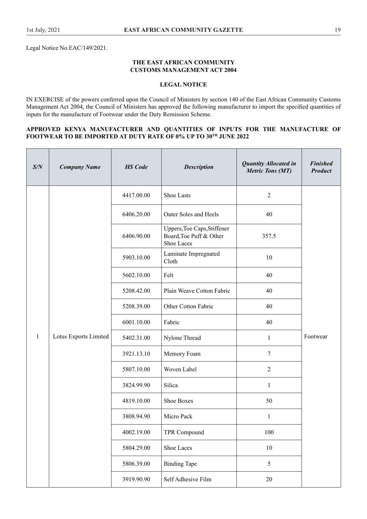Legal Notice No.EAC/149/2021.

# **THE EAST AFRICAN COMMUNITY CUSTOMS MANAGEMENT ACT 2004**

# **LEGAL NOTICE**

IN EXERCISE of the powers conferred upon the Council of Ministers by section 140 of the East African Community Customs Management Act 2004, the Council of Ministers has approved the following manufacturer to import the specifed quantities of inputs for the manufacture of Footwear under the Duty Remission Scheme.

# **APPROVED KENYA MANUFACTURER AND QUANTITIES OF INPUTS FOR THE MANUFACTURE OF FOOTWEAR TO BE IMPORTED AT DUTY RATE OF 0% UP TO 30TH JUNE 2022**

| S/N          | <b>Company Name</b>   | <b>HS</b> Code | <b>Description</b>                                                   | <b>Quantity Allocated in</b><br><b>Metric Tons (MT)</b> | <b>Finished</b><br><b>Product</b> |
|--------------|-----------------------|----------------|----------------------------------------------------------------------|---------------------------------------------------------|-----------------------------------|
|              |                       | 4417.00.00     | <b>Shoe Lasts</b>                                                    | $\overline{2}$                                          |                                   |
|              |                       | 6406.20.00     | <b>Outer Soles and Heels</b>                                         | 40                                                      |                                   |
|              |                       | 6406.90.00     | Uppers, Toe Caps, Stiffener<br>Board, Toe Puff & Other<br>Shoe Laces | 357.5                                                   |                                   |
|              |                       | 5903.10.00     | Laminate Impregnated<br>Cloth                                        | 10                                                      |                                   |
|              |                       | 5602.10.00     | Felt                                                                 | 40                                                      |                                   |
|              |                       | 5208.42.00     | Plain Weave Cotton Fabric                                            | 40                                                      |                                   |
|              |                       | 5208.39.00     | Other Cotton Fabric                                                  | 40                                                      |                                   |
|              |                       | 6001.10.00     | Fabric                                                               | 40                                                      |                                   |
| $\mathbf{1}$ | Lotus Exports Limited | 5402.31.00     | Nylone Thread                                                        | $\mathbf{1}$                                            | Footwear                          |
|              |                       | 3921.13.10     | Memory Foam                                                          | 7                                                       |                                   |
|              |                       | 5807.10.00     | Woven Label                                                          | $\overline{2}$                                          |                                   |
|              |                       | 3824.99.90     | Silica                                                               | $\mathbf{1}$                                            |                                   |
|              |                       | 4819.10.00     | Shoe Boxes                                                           | 50                                                      |                                   |
|              |                       | 3808.94.90     | Micro Pack                                                           | $\mathbf{1}$                                            |                                   |
|              |                       | 4002.19.00     | TPR Compound                                                         | 100                                                     |                                   |
|              |                       | 5804.29.00     | Shoe Laces                                                           | $10\,$                                                  |                                   |
|              |                       | 5806.39.00     | <b>Binding Tape</b>                                                  | 5                                                       |                                   |
|              |                       | 3919.90.90     | Self Adhesive Film                                                   | $20\,$                                                  |                                   |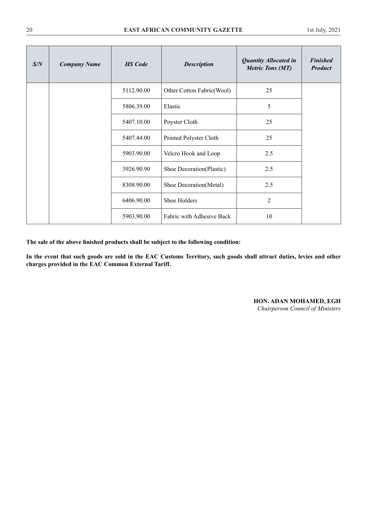| S/N | <b>Company Name</b> | <b>HS</b> Code | <b>Description</b>         | <b>Quantity Allocated in</b><br><b>Metric Tons (MT)</b> | <b>Finished</b><br><b>Product</b> |
|-----|---------------------|----------------|----------------------------|---------------------------------------------------------|-----------------------------------|
|     |                     | 5112.90.00     | Other Cotton Fabric (Wool) | 25                                                      |                                   |
|     |                     | 5806.39.00     | Elastic                    | 5                                                       |                                   |
|     |                     | 5407.10.00     | Poyster Cloth              | 25                                                      |                                   |
|     |                     | 5407.44.00     | Printed Polyster Cloth     | 25                                                      |                                   |
|     |                     | 5903.90.00     | Velcro Hook and Loop       | 2.5                                                     |                                   |
|     |                     | 3926.90.90     | Shoe Decoration(Plastic)   | 2.5                                                     |                                   |
|     |                     | 8308.90.00     | Shoe Decoration(Metal)     | 2.5                                                     |                                   |
|     |                     | 6406.90.00     | Shoe Holders               | $\overline{2}$                                          |                                   |
|     |                     | 5903.90.00     | Fabric with Adhesive Back  | 10                                                      |                                   |

**The sale of the above fnished products shall be subject to the following condition:** 

**In the event that such goods are sold in the EAC Customs Territory, such goods shall attract duties, levies and other charges provided in the EAC Common External Tariff.**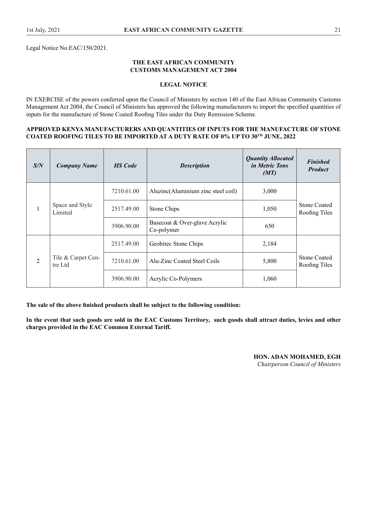Legal Notice No.EAC/150/2021.

# **THE EAST AFRICAN COMMUNITY CUSTOMS MANAGEMENT ACT 2004**

# **LEGAL NOTICE**

IN EXERCISE of the powers conferred upon the Council of Ministers by section 140 of the East African Community Customs Management Act 2004, the Council of Ministers has approved the following manufacturers to import the specifed quantities of inputs for the manufacture of Stone Coated Roofng Tiles under the Duty Remission Scheme.

#### **APPROVED KENYA MANUFACTURERS AND QUANTITIES OF INPUTS FOR THE MANUFACTURE OF STONE COATED ROOFING TILES TO BE IMPORTED AT A DUTY RATE OF 0% UP TO 30TH JUNE, 2022**

| S/N            | <b>Company Name</b>           | <b>HS</b> Code | <b>Description</b>                          | <b>Quantity Allocated</b><br><i>in Metric Tons</i><br>(MT) | <b>Finished</b><br><b>Product</b>    |
|----------------|-------------------------------|----------------|---------------------------------------------|------------------------------------------------------------|--------------------------------------|
| $\mathbf{1}$   |                               | 7210.61.00     | Aluzinc(Aluminium zinc steel coil)          | 3,000                                                      |                                      |
|                | Space and Style<br>Limited    | 2517.49.00     | Stone Chips                                 | 1,050                                                      | <b>Stone Coated</b><br>Roofing Tiles |
|                |                               | 3906.90.00     | Basecoat & Over-glave Acrylic<br>Co-polymer | 650                                                        |                                      |
| $\overline{2}$ | Tile & Carpet Cen-<br>tre Ltd | 2517.49.00     | Geobitec Stone Chips                        | 2,184                                                      |                                      |
|                |                               | 7210.61.00     | Alu-Zinc Coated Steel Coils                 | 5,800                                                      | <b>Stone Coated</b><br>Roofing Tiles |
|                |                               | 3906.90.00     | Acrylic Co-Polymers                         | 1,060                                                      |                                      |

**The sale of the above fnished products shall be subject to the following condition:**

**In the event that such goods are sold in the EAC Customs Territory, such goods shall attract duties, levies and other charges provided in the EAC Common External Tariff.**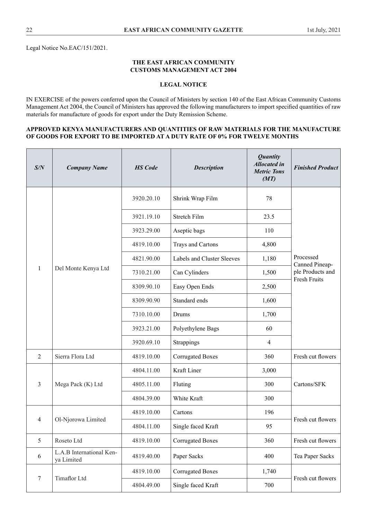Legal Notice No.EAC/151/2021.

# **THE EAST AFRICAN COMMUNITY CUSTOMS MANAGEMENT ACT 2004**

# **LEGAL NOTICE**

IN EXERCISE of the powers conferred upon the Council of Ministers by section 140 of the East African Community Customs Management Act 2004, the Council of Ministers has approved the following manufacturers to import specifed quantities of raw materials for manufacture of goods for export under the Duty Remission Scheme.

## **APPROVED KENYA MANUFACTURERS AND QUANTITIES OF RAW MATERIALS FOR THE MANUFACTURE OF GOODS FOR EXPORT TO BE IMPORTED AT A DUTY RATE OF 0% FOR TWELVE MONTHS**

| S/N            | <b>Company Name</b>                    | <b>HS</b> Code | <b>Description</b>         | <b>Quantity</b><br><b>Allocated</b> in<br><b>Metric Tons</b><br>(MT) | <b>Finished Product</b>     |  |
|----------------|----------------------------------------|----------------|----------------------------|----------------------------------------------------------------------|-----------------------------|--|
|                |                                        | 3920.20.10     | Shrink Wrap Film           | 78                                                                   |                             |  |
|                |                                        | 3921.19.10     | Stretch Film               | 23.5                                                                 |                             |  |
|                |                                        | 3923.29.00     | Aseptic bags               | 110                                                                  |                             |  |
|                |                                        | 4819.10.00     | Trays and Cartons          | 4,800                                                                |                             |  |
|                |                                        | 4821.90.00     | Labels and Cluster Sleeves | 1,180                                                                | Processed<br>Canned Pineap- |  |
| 1              | Del Monte Kenya Ltd                    | 7310.21.00     | Can Cylinders              | 1,500                                                                | ple Products and            |  |
|                |                                        | 8309.90.10     | Easy Open Ends             | 2,500                                                                | Fresh Fruits                |  |
|                |                                        | 8309.90.90     | Standard ends              | 1,600                                                                |                             |  |
|                |                                        | 7310.10.00     | Drums                      | 1,700                                                                |                             |  |
|                |                                        | 3923.21.00     | Polyethylene Bags          | 60                                                                   |                             |  |
|                |                                        | 3920.69.10     | Strappings                 | 4                                                                    |                             |  |
| $\overline{2}$ | Sierra Flora Ltd                       | 4819.10.00     | <b>Corrugated Boxes</b>    | 360                                                                  | Fresh cut flowers           |  |
|                |                                        | 4804.11.00     | Kraft Liner                | 3,000                                                                |                             |  |
| 3              | Mega Pack (K) Ltd                      | 4805.11.00     | Fluting                    | 300                                                                  | Cartons/SFK                 |  |
|                |                                        | 4804.39.00     | White Kraft                | 300                                                                  |                             |  |
|                |                                        | 4819.10.00     | Cartons                    | 196                                                                  |                             |  |
| 4              | Ol-Njorowa Limited                     | 4804.11.00     | Single faced Kraft         | 95                                                                   | Fresh cut flowers           |  |
| 5              | Roseto Ltd                             | 4819.10.00     | <b>Corrugated Boxes</b>    | 360                                                                  | Fresh cut flowers           |  |
| 6              | L.A.B International Ken-<br>ya Limited | 4819.40.00     | Paper Sacks                | 400                                                                  | Tea Paper Sacks             |  |
|                |                                        | 4819.10.00     | <b>Corrugated Boxes</b>    | 1,740                                                                |                             |  |
| 7              | Timaflor Ltd                           | 4804.49.00     | Single faced Kraft         | 700                                                                  | Fresh cut flowers           |  |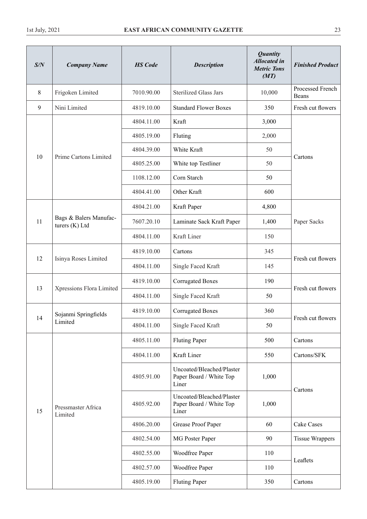| S/N            | <b>Company Name</b>                      | <b>HS</b> Code | <b>Description</b>                                            | <b>Quantity</b><br><b>Allocated</b> in<br><b>Metric Tons</b><br>(MT) | <b>Finished Product</b>   |
|----------------|------------------------------------------|----------------|---------------------------------------------------------------|----------------------------------------------------------------------|---------------------------|
| $8\,$          | Frigoken Limited                         | 7010.90.00     | <b>Sterilized Glass Jars</b>                                  | 10,000                                                               | Processed French<br>Beans |
| $\overline{9}$ | Nini Limited                             | 4819.10.00     | <b>Standard Flower Boxes</b>                                  | 350                                                                  | Fresh cut flowers         |
|                |                                          | 4804.11.00     | Kraft                                                         | 3,000                                                                |                           |
|                |                                          | 4805.19.00     | Fluting                                                       | 2,000                                                                |                           |
|                |                                          | 4804.39.00     | White Kraft                                                   | 50                                                                   |                           |
| 10             | Prime Cartons Limited                    | 4805.25.00     | White top Testliner                                           | 50                                                                   | Cartons                   |
|                |                                          | 1108.12.00     | Corn Starch                                                   | 50                                                                   |                           |
|                |                                          | 4804.41.00     | Other Kraft                                                   | 600                                                                  |                           |
|                |                                          | 4804.21.00     | Kraft Paper                                                   | 4,800                                                                |                           |
| 11             | Bags & Balers Manufac-<br>turers (K) Ltd | 7607.20.10     | Laminate Sack Kraft Paper                                     | 1,400                                                                | Paper Sacks               |
|                |                                          | 4804.11.00     | Kraft Liner                                                   | 150                                                                  |                           |
|                | Isinya Roses Limited                     | 4819.10.00     | Cartons                                                       | 345                                                                  |                           |
| 12             |                                          | 4804.11.00     | Single Faced Kraft                                            | 145                                                                  | Fresh cut flowers         |
|                | Xpressions Flora Limited                 | 4819.10.00     | <b>Corrugated Boxes</b>                                       | 190                                                                  |                           |
| 13             |                                          | 4804.11.00     | Single Faced Kraft                                            | 50                                                                   | Fresh cut flowers         |
|                | Sojanmi Springfields                     | 4819.10.00     | <b>Corrugated Boxes</b>                                       | 360                                                                  |                           |
| 14             | Limited                                  | 4804.11.00     | Single Faced Kraft                                            | 50                                                                   | Fresh cut flowers         |
|                |                                          | 4805.11.00     | <b>Fluting Paper</b>                                          | 500                                                                  | Cartons                   |
|                |                                          | 4804.11.00     | Kraft Liner                                                   | 550                                                                  | Cartons/SFK               |
|                |                                          | 4805.91.00     | Uncoated/Bleached/Plaster<br>Paper Board / White Top<br>Liner | 1,000                                                                |                           |
| 15             | Pressmaster Africa<br>Limited            | 4805.92.00     | Uncoated/Bleached/Plaster<br>Paper Board / White Top<br>Liner | 1,000                                                                | Cartons                   |
|                |                                          | 4806.20.00     | Grease Proof Paper                                            | 60                                                                   | Cake Cases                |
|                |                                          | 4802.54.00     | MG Poster Paper                                               | 90                                                                   | <b>Tissue Wrappers</b>    |
|                | 4802.55.00                               |                | Woodfree Paper                                                | 110                                                                  |                           |
|                |                                          | 4802.57.00     | Woodfree Paper                                                | 110                                                                  | Leaflets                  |
|                |                                          | 4805.19.00     | <b>Fluting Paper</b>                                          | 350                                                                  | Cartons                   |